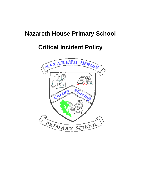# **Nazareth House Primary School**

# **Critical Incident Policy**

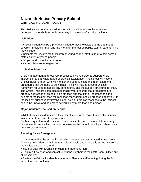# **Nazareth House Primary School CRITICAL INCIDENT POLICY**

This Policy sets out the procedures to be followed to ensure the safety and protection of the whole school community in the event of a critical incident.

# **Definition:**

A critical incident can be a physical incident or psychological trauma that has a severe immediate impact and likely long term effect on pupils, staff or parents. This may include:

• Incidents that involve staff, children or young people; staff, staff or other; person, staff, children or young people

- People made disasters/emergencies
- Natural disasters/emergencies

# **Critical Incident Team:**

Crisis management and recovery processes involve personal support, crisis intervention and a whole range of practical assistance. The school will have a Critical Incident Team who will monitor and communicate the information and procedures that will need to be in place. This will include a communication framework required to handle any contingency and the support structures for staff. The Critical Incident Team has responsibility for ensuring that procedures are properly addressed at times of high emotion and that if the Headteacher is the subject of the incident then the response mechanism should proceed effectively. If the incident subsequently involves legal action, a precise response to the incident should be known and be able to be verified by more than one person.

# **Major Incidents Focused on People:**

Whilst all critical incidents are difficult for all concerned, those that involve serious injury or death are inevitably traumatic.

By their very nature and definition, critical incidents tend to disorientate and may overwhelm those involved. In order to minimize the impact we will plan ahead as a necessary precaution.

# **Planning for an Emergency:**

It is important that the school knows which people can be contacted immediately following an incident, what information is available and where this stored. Therefore, the Critical Incident Team will:

- Issue all staff with a Critical Incident Management Plan
- Display a flow chart and contact telephone numbers in the Staff Room, Office and all classrooms

Review the Critical Incident Management Plan at a staff meeting during the first term of each school year.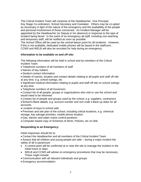The Critical Incident Team will comprise of the Headteacher, Vice Principal, Key Stage Co-ordinators, School Secretary and Caretaker. Others may be co-opted as necessary in light of the nature of the emergency and the availability of the people and personal involvement of those concerned. An Incident Manager will be appointed by the Headteacher (or Deputy in his absence) in response to the type of incident being faced. In the event of an emergency all staff, including non-teaching and temporary staff, will be notified as soon as possible.

The School Office will be used as the central liaison point for all incidents. However, if this is not available, dedicated mobile phones will be based in the staffroom. CCMS and WELB will also be recruited for help during an emergency.

#### **Information to be available on and off site:**

The following information will be held in school and by members of the Critical Incident Team:

- Telephone numbers of all members of staff
- Names of key holders
- Student contact information

Details of names, location and contact details relating to all pupils and staff off site at any time, e.g. school outings, etc

Significant medical information relating to pupils and staff off site on school outings at any time

Telephone numbers of all Governors

Contact list of all people, groups or organizations who visit or use the school and would need to be informed

Contact list of people and groups used by the school, e.g. suppliers, contractors

• School's Bank details, e.g. account number and sort code • Back-up disks for all accounts

Location of keys to school safe

Premises and site plan of the school, including critical locations, e.g. chemical storage, key salvage priorities, mobile phone location

- Gas, electric and water mains control positions
- Computer based copy of Schemes of Work, Policies, etc on disk

# **Responding to an Emergency:**

Initial responses should be to:

Contact the Headteacher and all members of the Critical Incident Team

Assess that all children and young people are safe – during a major incident the safety of all is paramount

- A control point will be confirmed at or near the site to manage the incident in the initial hours or days.
- WELB and CCMS will advise on emergency procedures that may be necessary. These might include:
- Communication with all relevant individuals and groups
- Emergency accommodation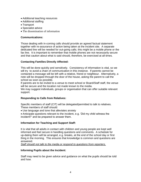- Additional teaching resources
- Additional staffing
- Transport
- Specialist advice
- The dissemination of information

#### **Communications:**

Those dealing with in-coming calls should provide an agreed factual statement together with re-assurance of action being taken at the incident site. A separate dedicated line will be needed for out-going calls; this might be a mobile phone or the fax line. It is important to remember that mobile phones are not necessarily secure and that caution about what is said should, therefore, be exercised at all times.

#### **Contacting Families Directly Affected:**

This will be done quickly and sensitively. Consistency of information is vital, so we will try to avoid a chain of communication in this instance. If parents cannot be contacted a message will be left with a relative, friend or neighbour. Alternatively, a note will be dropped through the door of the house, asking the parent to call the school as soon as possible.

If parents are to be invited to a venue to meet school or Board/Staff staff, the venue will be secure and the location not made known to the media.

We may suggest individuals, groups or organisation that can offer suitable relevant support.

# **Responding to Calls from Relatives:**

Specific members of staff (CIT) will be delegated/permitted to talk to relatives. These members of staff should:

- Use language and tone that alleviates anxiety
- Anticipate questions relevant to the incident, e.g. 'Did my child witness the incident?' and be prepared to answer them.

# **Information for Teaching and Support Staff:**

It is vital that all adults in contact with children and young people are kept well informed and feel secure in handling questions and comments. A schedule for up-dating them will be arranged, e.g. breaks, at the end of the school day or first thing in the morning. This ensures that knowledge is common and questions are answered.

*Staff should not talk to the media or respond to questions from reporters.*

#### **Informing Pupils about the Incident:**

Staff may need to be given advice and guidance on what the pupils should be told and how.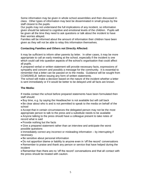Some information may be given in whole school assemblies and then discussed in class. Other types of information may best be disseminated in small groups by the staff closest to the pupils.

Our pupils may not understand the full implications of any incident, so information given should be tailored to cognitive and emotional levels of the children. Pupils will be given all the time they need to ask questions or talk about the incident to have their worries allayed.

Families will be informed about the amount of information their children have been given as they will not be able to relay this information themselves.

# **Contacting Families and Others not Directly Affected:**

It may be sufficient to inform other parents by letter. In other cases, it may be more appropriate to call an early meeting at the school, especially if the incident is one which could call into question aspects of the school's organisation that could affect all pupils.

A prepared verbal or written statement will provide necessary facts, expressions of sympathy and concern and possibly a message for the community. It is essential to remember that a letter can be passed on to the media. Guidance will be sought from CCMS/WELB before issuing any form of written statements.

The school will make a decision based on the nature of the incident whether a letter is sent immediately or if it would be better to be delayed until all facts are known.

# **The Media:**

If media contact the school before prepared statements have been formulated then staff should:

Buy time, e.g. by saying the Headteacher is not available but will call back

Be clear about who is and is not permitted to speak to the media on behalf of the school

Accept that in certain circumstances the delegated person may not be the most appropriate person to talk to the press and a substitute needs to be available

Anyone talking to the press should have a colleague present to take notes of record what is said

• Provide nothing but the facts

Give a prepared statement rather than an interview and anticipate the worst possible questions

• Immediately correct any incorrect or misleading information – by interrupting if necessary

- Be sensitive about personal information
- Do not apportion blame or liability to anyone even in 'off the record' conversations

Remember to praise and thank any person or service that have helped during the incident

Remember than there are no 'off the record' conversations and that all contact with the press should be treated with caution.